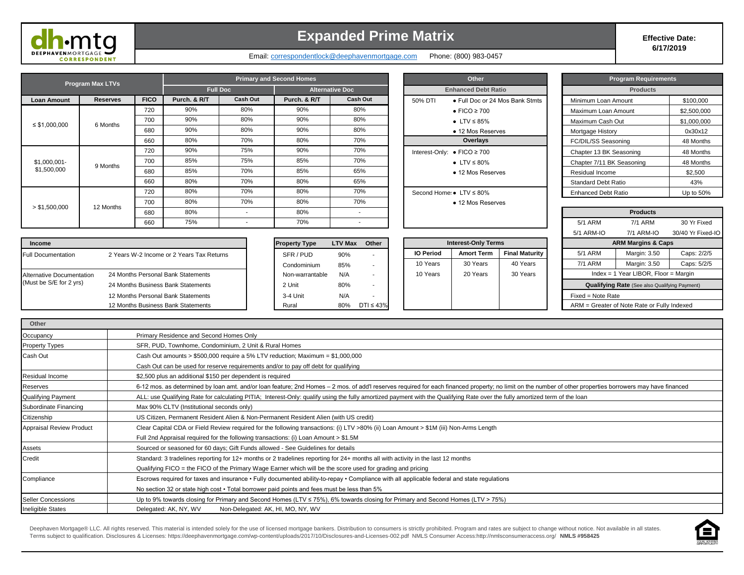

**Other**

### **Expanded Prime Matrix Expanded Prime Matrix**

**6/17/2019**

Email: correspondentlock@deephavenmortgage.com Phone: (800) 983-0457

| <b>Program Max LTVs</b>        |                 |             |                 | <b>Primary and Second Homes</b> |                        |                          | Other |                                        |                                 | Program Requirements |                            |                 |             |
|--------------------------------|-----------------|-------------|-----------------|---------------------------------|------------------------|--------------------------|-------|----------------------------------------|---------------------------------|----------------------|----------------------------|-----------------|-------------|
|                                |                 |             | <b>Full Doc</b> |                                 | <b>Alternative Doc</b> |                          |       | <b>Enhanced Debt Ratio</b>             |                                 | <b>Products</b>      |                            |                 |             |
| Loan Amount                    | <b>Reserves</b> | <b>FICO</b> | Purch. & R/T    | Cash Out                        | Purch, & R/T           | Cash Out                 |       | 50% DTI                                | • Full Doc or 24 Mos Bank Stmts |                      | Minimum Loan Amount        |                 | \$100,000   |
|                                |                 | 720         | 90%             | 80%                             | 90%                    | 80%                      |       |                                        | $\bullet$ FICO $\geq$ 700       |                      | Maximum Loan Amount        |                 | \$2,500,000 |
| $\leq$ \$1,000,000<br>6 Months |                 | 700         | 90%             | 80%                             | 90%                    | 80%                      |       |                                        | $\bullet$ LTV $\leq$ 85%        |                      | Maximum Cash Out           |                 | \$1,000,000 |
|                                |                 | 680         | 90%             | 80%                             | 90%                    | 80%                      |       |                                        | • 12 Mos Reserves               |                      | Mortgage History           |                 | 0x30x12     |
|                                |                 | 660         | 80%             | 70%                             | 80%                    | 70%                      |       | Overlays                               |                                 |                      | FC/DIL/SS Seasoning        |                 | 48 Months   |
|                                |                 | 720         | 90%             | 75%                             | 90%                    | 70%                      |       |                                        | Interest-Only: • FICO ≥ 700     |                      | Chapter 13 BK Seasoning    |                 | 48 Months   |
| \$1,000,001-                   | 9 Months        | 700         | 85%             | 75%                             | 85%                    | 70%                      |       | • LTV $\leq 80\%$<br>• 12 Mos Reserves |                                 |                      | Chapter 7/11 BK Seasoning  |                 | 48 Months   |
| \$1,500,000                    |                 | 680         | 85%             | 70%                             | 85%                    | 65%                      |       |                                        |                                 |                      | Residual Income            |                 | \$2,500     |
|                                |                 | 660         | 80%             | 70%                             | 80%                    | 65%                      |       |                                        |                                 |                      | <b>Standard Debt Ratio</b> |                 | 43%         |
|                                |                 | 720         | 80%             | 70%                             | 80%                    | 70%                      |       |                                        | Second Home: • LTV ≤ 80%        |                      | <b>Enhanced Debt Ratio</b> |                 | Up to 50%   |
|                                |                 | 700         | 80%             | 70%                             | 80%                    | 70%                      |       |                                        | • 12 Mos Reserves               |                      |                            |                 |             |
| > \$1,500,000                  | 12 Months       | 680         | 80%             | $\sim$                          | 80%                    | $\overline{\phantom{a}}$ |       |                                        |                                 |                      |                            | <b>Products</b> |             |
|                                |                 | 660         | 75%             | $\sim$                          | 70%                    | . .                      |       |                                        |                                 |                      | 5/1 ARM                    | 7/1 ARM         | 30 Yr Fixed |

| Other                      |                                 |  |  |  |  |  |  |  |
|----------------------------|---------------------------------|--|--|--|--|--|--|--|
| <b>Enhanced Debt Ratio</b> |                                 |  |  |  |  |  |  |  |
| 50% DTI                    | • Full Doc or 24 Mos Bank Stmts |  |  |  |  |  |  |  |
|                            | $\bullet$ FICO $\geq$ 700       |  |  |  |  |  |  |  |
|                            | $\bullet$ LTV $\leq$ 85%        |  |  |  |  |  |  |  |
|                            | $\bullet$ 12 Mos Reserves       |  |  |  |  |  |  |  |
| Overlays                   |                                 |  |  |  |  |  |  |  |
|                            | Interest-Only: • FICO ≥ 700     |  |  |  |  |  |  |  |
|                            | $\bullet$ LTV $\leq$ 80%        |  |  |  |  |  |  |  |
|                            | • 12 Mos Reserves               |  |  |  |  |  |  |  |
|                            |                                 |  |  |  |  |  |  |  |
|                            | Second Home: • LTV ≤ 80%        |  |  |  |  |  |  |  |
|                            | • 12 Mos Reserves               |  |  |  |  |  |  |  |
|                            |                                 |  |  |  |  |  |  |  |
|                            |                                 |  |  |  |  |  |  |  |

| <b>Program Requirements</b> |                 |
|-----------------------------|-----------------|
| <b>Products</b>             |                 |
| Minimum Loan Amount         | \$100,000       |
| Maximum Loan Amount         | \$2,500,000     |
| Maximum Cash Out            | \$1,000,000     |
| Mortgage History            | 0x30x12         |
| FC/DIL/SS Seasoning         | 48 Months       |
| Chapter 13 BK Seasoning     | 48 Months       |
| Chapter 7/11 BK Seasoning   | 48 Months       |
| Residual Income             | \$2,500         |
| Standard Debt Ratio         | 43%             |
| Enhanced Deht Ratio         | $1 \ln t_0$ 50% |

| 80%             |                |                 |                  |                            |                       | <b>Products</b>   |                                                      |                   |  |  |  |
|-----------------|----------------|-----------------|------------------|----------------------------|-----------------------|-------------------|------------------------------------------------------|-------------------|--|--|--|
| 70%             |                |                 |                  |                            |                       | 5/1 ARM           | 7/1 ARM                                              | 30 Yr Fixed       |  |  |  |
|                 |                |                 |                  |                            |                       | 5/1 ARM-IO        | 7/1 ARM-IO                                           | 30/40 Yr Fixed-IO |  |  |  |
| operty Type     | <b>LTV Max</b> | Other           |                  | <b>Interest-Only Terms</b> |                       |                   | <b>ARM Margins &amp; Caps</b>                        |                   |  |  |  |
| SFR / PUD       | 90%            |                 | <b>IO Period</b> | <b>Amort Term</b>          | <b>Final Maturity</b> | 5/1 ARM           | Margin: 3.50                                         | Caps: 2/2/5       |  |  |  |
| Condominium     | 85%            | ۰               | 10 Years         | 30 Years                   | 40 Years              | 7/1 ARM           | Margin: 3.50                                         | Caps: 5/2/5       |  |  |  |
| Non-warrantable | N/A            |                 | 10 Years         | 20 Years                   | 30 Years              |                   | Index = 1 Year LIBOR, Floor = Margin                 |                   |  |  |  |
| 2 Unit          | 80%            | ۰.              |                  |                            |                       |                   | <b>Qualifying Rate</b> (See also Qualifying Payment) |                   |  |  |  |
| 3-4 Unit        | N/A            |                 |                  |                            |                       | Fixed = Note Rate |                                                      |                   |  |  |  |
| Rural           | 80%            | $DTI \leq 43\%$ |                  |                            |                       |                   | ARM = Greater of Note Rate or Fully Indexed          |                   |  |  |  |
|                 |                |                 |                  |                            |                       |                   |                                                      |                   |  |  |  |

| <b>Income</b>                    | <b>Property Type</b>                      |                 | LTV Max Other | <b>Interest-Only Terms</b> |                  |                   |                       | <b>ARM Margins &amp; Caps</b> |                   |                                             |     |
|----------------------------------|-------------------------------------------|-----------------|---------------|----------------------------|------------------|-------------------|-----------------------|-------------------------------|-------------------|---------------------------------------------|-----|
| <b>Full Documentation</b>        | 2 Years W-2 Income or 2 Years Tax Returns | SFR / PUD       | 90%           |                            | <b>IO Period</b> | <b>Amort Term</b> | <b>Final Maturity</b> |                               | 5/1 ARM           | Margin: 3.50                                | Cap |
|                                  |                                           | Condominium     | 85%           |                            | 10 Years         | 30 Years          | 40 Years              |                               | 7/1 ARM           | <b>Margin: 3.50</b>                         | Cap |
| <b>Alternative Documentation</b> | 24 Months Personal Bank Statements        | Non-warrantable | N/A           |                            | 10 Years         | 20 Years          | 30 Years              |                               |                   | Index = 1 Year LIBOR, Floor = Margir        |     |
| (Must be S/E for 2 yrs)          | 24 Months Business Bank Statements        | 2 Unit          | 80%           |                            |                  |                   |                       |                               |                   | Qualifying Rate (See also Qualifying Payme  |     |
|                                  | 12 Months Personal Bank Statements        | 3-4 Unit        | N/A           |                            |                  |                   |                       |                               | Fixed = Note Rate |                                             |     |
|                                  | 12 Months Business Bank Statements        | Rural           | 80%           | $DTI \leq 43\%$            |                  |                   |                       |                               |                   | ARM = Greater of Note Rate or Fully Indexed |     |

| <b>Property Type</b> | <b>LTV Max</b> | Other           |
|----------------------|----------------|-----------------|
| SFR / PUD            | 90%            |                 |
| Condominium          | 85%            |                 |
| Non-warrantable      | N/A            |                 |
| 2 Unit               | 80%            |                 |
| 3-4 Unit             | N/A            |                 |
| Rural                | 80%            | $DTI \leq 43\%$ |

| <b>Interest-Only Terms</b> |                   |                       |  |  |  |  |  |  |  |  |  |
|----------------------------|-------------------|-----------------------|--|--|--|--|--|--|--|--|--|
| <b>IO Period</b>           | <b>Amort Term</b> | <b>Final Maturity</b> |  |  |  |  |  |  |  |  |  |
| 10 Years                   | 30 Years          | 40 Years              |  |  |  |  |  |  |  |  |  |
| 10 Years                   | 20 Years          | 30 Years              |  |  |  |  |  |  |  |  |  |
|                            |                   |                       |  |  |  |  |  |  |  |  |  |
|                            |                   |                       |  |  |  |  |  |  |  |  |  |

| Occupancy                       | Primary Residence and Second Homes Only                                                                                                                                                                    |  |  |  |  |  |  |  |
|---------------------------------|------------------------------------------------------------------------------------------------------------------------------------------------------------------------------------------------------------|--|--|--|--|--|--|--|
| <b>Property Types</b>           | SFR, PUD, Townhome, Condominium, 2 Unit & Rural Homes                                                                                                                                                      |  |  |  |  |  |  |  |
| Cash Out                        | Cash Out amounts $> $500,000$ require a 5% LTV reduction; Maximum = \$1,000,000                                                                                                                            |  |  |  |  |  |  |  |
|                                 | Cash Out can be used for reserve requirements and/or to pay off debt for qualifying                                                                                                                        |  |  |  |  |  |  |  |
| Residual Income                 | \$2,500 plus an additional \$150 per dependent is required                                                                                                                                                 |  |  |  |  |  |  |  |
| Reserves                        | 6-12 mos. as determined by loan amt. and/or loan feature; 2nd Homes - 2 mos. of add'l reserves required for each financed property; no limit on the number of other properties borrowers may have financed |  |  |  |  |  |  |  |
| <b>Qualifying Payment</b>       | ALL: use Qualifying Rate for calculating PITIA; Interest-Only: qualify using the fully amortized payment with the Qualifying Rate over the fully amortized term of the loan                                |  |  |  |  |  |  |  |
| Subordinate Financing           | Max 90% CLTV (Institutional seconds only)                                                                                                                                                                  |  |  |  |  |  |  |  |
| Citizenship                     | US Citizen, Permanent Resident Alien & Non-Permanent Resident Alien (with US credit)                                                                                                                       |  |  |  |  |  |  |  |
| <b>Appraisal Review Product</b> | Clear Capital CDA or Field Review required for the following transactions: (i) LTV >80% (ii) Loan Amount > \$1M (iii) Non-Arms Length                                                                      |  |  |  |  |  |  |  |
|                                 | Full 2nd Appraisal required for the following transactions: (i) Loan Amount > \$1.5M                                                                                                                       |  |  |  |  |  |  |  |
| Assets                          | Sourced or seasoned for 60 days; Gift Funds allowed - See Guidelines for details                                                                                                                           |  |  |  |  |  |  |  |
| Credit                          | Standard: 3 tradelines reporting for 12+ months or 2 tradelines reporting for 24+ months all with activity in the last 12 months                                                                           |  |  |  |  |  |  |  |
|                                 | Qualifying FICO = the FICO of the Primary Wage Earner which will be the score used for grading and pricing                                                                                                 |  |  |  |  |  |  |  |
| Compliance                      | Escrows required for taxes and insurance • Fully documented ability-to-repay • Compliance with all applicable federal and state regulations                                                                |  |  |  |  |  |  |  |
|                                 | No section 32 or state high cost • Total borrower paid points and fees must be less than 5%                                                                                                                |  |  |  |  |  |  |  |
| <b>Seller Concessions</b>       | Up to 9% towards closing for Primary and Second Homes (LTV ≤ 75%), 6% towards closing for Primary and Second Homes (LTV > 75%)                                                                             |  |  |  |  |  |  |  |
| <b>Ineligible States</b>        | Delegated: AK, NY, WV<br>Non-Delegated: AK, HI, MO, NY, WV                                                                                                                                                 |  |  |  |  |  |  |  |

Deephaven Mortgage® LLC. All rights reserved. This material is intended solely for the use of licensed mortgage bankers. Distribution to consumers is strictly prohibited. Program and rates are subject to change without not

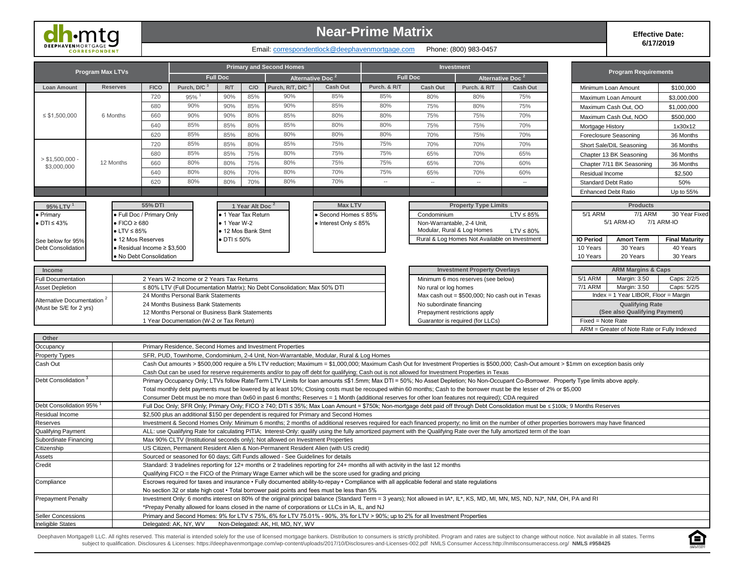

### **Near-Prime Matrix**

#### **Effective Date: 6/17/2019**

### Email: correspondentlock@deephavenmortgage.com Phone: (800) 983-0457

| <b>Program Max LTVs</b>                                           |                           |                                          |                                                |                          |                             | <b>Primary and Second Homes</b>                                                                |                                    |                                                                                                                                                       |                                    | <b>Investment</b>                              |                                                                                                                                                                                |                                                                                                                                                                                                                                                                                                                                                                                                                                                | <b>Program Requirements</b>          |                       |
|-------------------------------------------------------------------|---------------------------|------------------------------------------|------------------------------------------------|--------------------------|-----------------------------|------------------------------------------------------------------------------------------------|------------------------------------|-------------------------------------------------------------------------------------------------------------------------------------------------------|------------------------------------|------------------------------------------------|--------------------------------------------------------------------------------------------------------------------------------------------------------------------------------|------------------------------------------------------------------------------------------------------------------------------------------------------------------------------------------------------------------------------------------------------------------------------------------------------------------------------------------------------------------------------------------------------------------------------------------------|--------------------------------------|-----------------------|
|                                                                   |                           |                                          |                                                | <b>Full Doc</b>          |                             |                                                                                                | Alternative Doc <sup>2</sup>       |                                                                                                                                                       | <b>Full Doc</b>                    |                                                | Alternative Doc <sup>2</sup>                                                                                                                                                   |                                                                                                                                                                                                                                                                                                                                                                                                                                                |                                      |                       |
| <b>Loan Amount</b>                                                | <b>Reserves</b>           | <b>FICO</b>                              | Purch, D/C <sup>3</sup>                        | R/T                      | C/O                         | Purch, R/T, D/C <sup>3</sup>                                                                   | <b>Cash Out</b>                    | Purch, & R/T                                                                                                                                          | <b>Cash Out</b>                    | Purch, & R/T                                   | <b>Cash Out</b>                                                                                                                                                                | Minimum Loan Amount                                                                                                                                                                                                                                                                                                                                                                                                                            |                                      | \$100,000             |
|                                                                   |                           | 720                                      | 95%                                            | 90%                      | 85%                         | 90%                                                                                            | 85%                                | 85%                                                                                                                                                   | 80%                                | 80%                                            | 75%                                                                                                                                                                            | Maximum Loan Amount                                                                                                                                                                                                                                                                                                                                                                                                                            |                                      | \$3,000,000           |
|                                                                   |                           | 680                                      | 90%                                            | 90%                      | 85%                         | 90%                                                                                            | 85%                                | 80%                                                                                                                                                   | 75%                                | 80%                                            | 75%                                                                                                                                                                            | Maximum Cash Out, OO                                                                                                                                                                                                                                                                                                                                                                                                                           |                                      | \$1,000,000           |
| $\leq$ \$1,500,000                                                | 6 Months<br>660<br>640    |                                          | 90%                                            | 90%                      | 80%                         | 85%                                                                                            | 80%                                | 80%                                                                                                                                                   | 75%                                | 75%                                            | 70%                                                                                                                                                                            | Maximum Cash Out, NOO                                                                                                                                                                                                                                                                                                                                                                                                                          |                                      | \$500,000             |
|                                                                   |                           |                                          | 85%                                            | 85%                      | 80%                         | 85%                                                                                            | 80%                                | 80%                                                                                                                                                   | 75%                                | 75%                                            | 70%                                                                                                                                                                            | Mortgage History                                                                                                                                                                                                                                                                                                                                                                                                                               |                                      | 1x30x12               |
|                                                                   |                           | 620                                      | 85%                                            | 85%                      | 80%                         | 80%                                                                                            | 80%                                | 80%                                                                                                                                                   | 70%                                | 75%                                            | 70%                                                                                                                                                                            | Foreclosure Seasoning                                                                                                                                                                                                                                                                                                                                                                                                                          |                                      | 36 Months             |
|                                                                   |                           | 720                                      | 85%                                            | 85%                      | 80%                         | 85%                                                                                            | 75%                                | 75%                                                                                                                                                   | 70%                                | 70%                                            | 70%                                                                                                                                                                            | Short Sale/DIL Seasoning                                                                                                                                                                                                                                                                                                                                                                                                                       |                                      | 36 Months             |
|                                                                   |                           | 680                                      | 85%                                            | 85%                      | 75%                         | 80%                                                                                            | 75%                                | 75%                                                                                                                                                   | 65%                                | 70%                                            | 65%                                                                                                                                                                            | Chapter 13 BK Seasoning                                                                                                                                                                                                                                                                                                                                                                                                                        |                                      | 36 Months             |
| > \$1.500.000                                                     | 12 Months                 | 660                                      | 80%                                            | 80%                      | 75%                         | 80%                                                                                            | 75%                                | 75%                                                                                                                                                   | 65%                                | 70%                                            | 60%                                                                                                                                                                            | Chapter 7/11 BK Seasoning                                                                                                                                                                                                                                                                                                                                                                                                                      |                                      | 36 Months             |
| \$3,000,000                                                       |                           | 640                                      | 80%                                            | 80%                      | 70%                         | 80%                                                                                            | 70%                                | 75%                                                                                                                                                   | 65%                                | 70%                                            | 60%                                                                                                                                                                            | Residual Income                                                                                                                                                                                                                                                                                                                                                                                                                                |                                      | \$2,500               |
|                                                                   |                           | 620                                      | 80%                                            | 80%                      | 70%                         | 80%                                                                                            | 70%                                |                                                                                                                                                       |                                    |                                                |                                                                                                                                                                                | <b>Standard Debt Ratio</b>                                                                                                                                                                                                                                                                                                                                                                                                                     |                                      | 50%                   |
|                                                                   |                           |                                          |                                                |                          |                             |                                                                                                |                                    |                                                                                                                                                       |                                    |                                                |                                                                                                                                                                                | <b>Enhanced Debt Ratio</b>                                                                                                                                                                                                                                                                                                                                                                                                                     |                                      | Up to 55%             |
|                                                                   |                           |                                          |                                                |                          |                             |                                                                                                |                                    |                                                                                                                                                       |                                    |                                                |                                                                                                                                                                                |                                                                                                                                                                                                                                                                                                                                                                                                                                                |                                      |                       |
| 95% LTV <sup>1</sup>                                              |                           | 55% DTI                                  |                                                |                          | 1 Year Alt Doc <sup>2</sup> |                                                                                                | <b>Max LTV</b>                     |                                                                                                                                                       |                                    | <b>Property Type Limits</b>                    |                                                                                                                                                                                |                                                                                                                                                                                                                                                                                                                                                                                                                                                | <b>Products</b>                      |                       |
| • Primary                                                         |                           | · Full Doc / Primary Only                |                                                |                          | • 1 Year Tax Return         |                                                                                                | ● Second Homes ≤ 85%               |                                                                                                                                                       | Condominium                        |                                                | $LTV \leq 85\%$                                                                                                                                                                | <b>5/1 ARM</b>                                                                                                                                                                                                                                                                                                                                                                                                                                 | <b>7/1 ARM</b>                       | 30 Year Fixed         |
| $\bullet$ DTI $\leq 43\%$                                         | $\bullet$ FICO $\geq$ 680 |                                          |                                                | $\bullet$ 1 Year W-2     |                             |                                                                                                | $\bullet$ Interest Only $\leq$ 85% |                                                                                                                                                       | Non-Warrantable, 2-4 Unit,         |                                                |                                                                                                                                                                                | 5/1 ARM-IO                                                                                                                                                                                                                                                                                                                                                                                                                                     | 7/1 ARM-IO                           |                       |
|                                                                   | $\bullet$ LTV $\leq$ 85%  |                                          |                                                | • 12 Mos Bank Stmt       |                             |                                                                                                |                                    |                                                                                                                                                       |                                    | Modular, Rural & Log Homes                     | $LTV \leq 80\%$                                                                                                                                                                |                                                                                                                                                                                                                                                                                                                                                                                                                                                |                                      |                       |
| See below for 95%                                                 |                           | • 12 Mos Reserves                        |                                                | $\bullet$ DTI $\leq$ 50% |                             |                                                                                                |                                    |                                                                                                                                                       |                                    | Rural & Log Homes Not Available on Investment  |                                                                                                                                                                                | <b>IO Period</b><br><b>Amort Term</b>                                                                                                                                                                                                                                                                                                                                                                                                          |                                      | <b>Final Maturity</b> |
| <b>Debt Consolidation</b>                                         |                           | $\bullet$ Residual Income $\geq$ \$3,500 |                                                |                          |                             |                                                                                                |                                    |                                                                                                                                                       |                                    |                                                |                                                                                                                                                                                | 10 Years<br>30 Years                                                                                                                                                                                                                                                                                                                                                                                                                           |                                      | 40 Years              |
|                                                                   |                           | . No Debt Consolidation                  |                                                |                          |                             |                                                                                                |                                    |                                                                                                                                                       |                                    |                                                |                                                                                                                                                                                | 10 Years<br>20 Years                                                                                                                                                                                                                                                                                                                                                                                                                           |                                      | 30 Years              |
| Income                                                            |                           |                                          |                                                |                          |                             |                                                                                                |                                    |                                                                                                                                                       |                                    | <b>Investment Property Overlays</b>            |                                                                                                                                                                                |                                                                                                                                                                                                                                                                                                                                                                                                                                                | <b>ARM Margins &amp; Caps</b>        |                       |
| <b>Full Documentation</b>                                         |                           |                                          | 2 Years W-2 Income or 2 Years Tax Returns      |                          |                             |                                                                                                |                                    |                                                                                                                                                       | Minimum 6 mos reserves (see below) |                                                |                                                                                                                                                                                | 5/1 ARM<br>Margin: 3.50                                                                                                                                                                                                                                                                                                                                                                                                                        |                                      | Caps: 2/2/5           |
| <b>Asset Depletion</b>                                            |                           |                                          |                                                |                          |                             | ≤ 80% LTV (Full Documentation Matrix); No Debt Consolidation; Max 50% DTI                      |                                    |                                                                                                                                                       | No rural or log homes              |                                                |                                                                                                                                                                                | 7/1 ARM<br>Margin: 3.50                                                                                                                                                                                                                                                                                                                                                                                                                        |                                      | Caps: 5/2/5           |
|                                                                   |                           |                                          | 24 Months Personal Bank Statements             |                          |                             |                                                                                                |                                    |                                                                                                                                                       |                                    | Max cash out = \$500,000; No cash out in Texas |                                                                                                                                                                                |                                                                                                                                                                                                                                                                                                                                                                                                                                                | Index = 1 Year LIBOR, Floor = Margin |                       |
| Alternative Documentation <sup>2</sup><br>(Must be S/E for 2 yrs) |                           |                                          | 24 Months Business Bank Statements             |                          |                             |                                                                                                |                                    |                                                                                                                                                       | No subordinate financing           |                                                |                                                                                                                                                                                |                                                                                                                                                                                                                                                                                                                                                                                                                                                | <b>Qualifying Rate</b>               |                       |
|                                                                   |                           |                                          | 12 Months Personal or Business Bank Statements |                          |                             |                                                                                                |                                    |                                                                                                                                                       |                                    | Prepayment restrictions apply                  |                                                                                                                                                                                |                                                                                                                                                                                                                                                                                                                                                                                                                                                | (See also Qualifying Payment)        |                       |
|                                                                   |                           |                                          | 1 Year Documentation (W-2 or Tax Return)       |                          |                             |                                                                                                |                                    |                                                                                                                                                       |                                    | Guarantor is required (for LLCs)               |                                                                                                                                                                                | Fixed = Note Rate                                                                                                                                                                                                                                                                                                                                                                                                                              |                                      |                       |
|                                                                   |                           |                                          |                                                |                          |                             |                                                                                                |                                    |                                                                                                                                                       |                                    |                                                |                                                                                                                                                                                | ARM = Greater of Note Rate or Fully Indexed                                                                                                                                                                                                                                                                                                                                                                                                    |                                      |                       |
| Other                                                             |                           |                                          |                                                |                          |                             |                                                                                                |                                    |                                                                                                                                                       |                                    |                                                |                                                                                                                                                                                |                                                                                                                                                                                                                                                                                                                                                                                                                                                |                                      |                       |
| Occupancy                                                         |                           |                                          |                                                |                          |                             | Primary Residence, Second Homes and Investment Properties                                      |                                    |                                                                                                                                                       |                                    |                                                |                                                                                                                                                                                |                                                                                                                                                                                                                                                                                                                                                                                                                                                |                                      |                       |
| <b>Property Types</b><br>Cash Out                                 |                           |                                          |                                                |                          |                             | SFR, PUD, Townhome, Condominium, 2-4 Unit, Non-Warrantable, Modular, Rural & Log Homes         |                                    |                                                                                                                                                       |                                    |                                                |                                                                                                                                                                                | Cash Out amounts > \$500,000 require a 5% LTV reduction; Maximum = \$1,000,000; Maximum Cash Out for Investment Properties is \$500,000; Cash-Out amount > \$1mm on exception basis only                                                                                                                                                                                                                                                       |                                      |                       |
|                                                                   |                           |                                          |                                                |                          |                             |                                                                                                |                                    | Cash Out can be used for reserve requirements and/or to pay off debt for qualifying; Cash out is not allowed for Investment Properties in Texas       |                                    |                                                |                                                                                                                                                                                |                                                                                                                                                                                                                                                                                                                                                                                                                                                |                                      |                       |
| <b>Debt Consolidation</b>                                         |                           |                                          |                                                |                          |                             |                                                                                                |                                    |                                                                                                                                                       |                                    |                                                |                                                                                                                                                                                | Primary Occupancy Only; LTVs follow Rate/Term LTV Limits for loan amounts ≤\$1.5mm; Max DTI = 50%; No Asset Depletion; No Non-Occupant Co-Borrower. Property Type limits above apply.                                                                                                                                                                                                                                                          |                                      |                       |
|                                                                   |                           |                                          |                                                |                          |                             |                                                                                                |                                    |                                                                                                                                                       |                                    |                                                | Total monthly debt payments must be lowered by at least 10%; Closing costs must be recouped within 60 months; Cash to the borrower must be the lesser of 2% or \$5,000         |                                                                                                                                                                                                                                                                                                                                                                                                                                                |                                      |                       |
|                                                                   |                           |                                          |                                                |                          |                             |                                                                                                |                                    | Consumer Debt must be no more than 0x60 in past 6 months; Reserves = 1 Month (additional reserves for other loan features not required); CDA required |                                    |                                                |                                                                                                                                                                                |                                                                                                                                                                                                                                                                                                                                                                                                                                                |                                      |                       |
| Debt Consolidation 95%                                            |                           |                                          |                                                |                          |                             |                                                                                                |                                    |                                                                                                                                                       |                                    |                                                |                                                                                                                                                                                | Full Doc Only; SFR Only; Primary Only; FICO ≥ 740; DTI ≤ 35%; Max Loan Amount = \$750k; Non-mortgage debt paid off through Debt Consolidation must be ≤ \$100k; 9 Months Reserves                                                                                                                                                                                                                                                              |                                      |                       |
| Residual Income                                                   |                           |                                          |                                                |                          |                             | \$2,500 plus an additional \$150 per dependent is required for Primary and Second Homes        |                                    |                                                                                                                                                       |                                    |                                                |                                                                                                                                                                                |                                                                                                                                                                                                                                                                                                                                                                                                                                                |                                      |                       |
| Reserves                                                          |                           |                                          |                                                |                          |                             |                                                                                                |                                    |                                                                                                                                                       |                                    |                                                |                                                                                                                                                                                | Investment & Second Homes Only: Minimum 6 months; 2 months of additional reserves required for each financed property; no limit on the number of other properties borrowers may have financed                                                                                                                                                                                                                                                  |                                      |                       |
| Qualifying Payment                                                |                           |                                          |                                                |                          |                             |                                                                                                |                                    |                                                                                                                                                       |                                    |                                                | ALL: use Qualifying Rate for calculating PITIA; Interest-Only: qualify using the fully amortized payment with the Qualifying Rate over the fully amortized term of the loan    |                                                                                                                                                                                                                                                                                                                                                                                                                                                |                                      |                       |
| Subordinate Financing                                             |                           |                                          |                                                |                          |                             | Max 90% CLTV (Institutional seconds only); Not allowed on Investment Properties                |                                    |                                                                                                                                                       |                                    |                                                |                                                                                                                                                                                |                                                                                                                                                                                                                                                                                                                                                                                                                                                |                                      |                       |
| Citizenship                                                       |                           |                                          |                                                |                          |                             | US Citizen, Permanent Resident Alien & Non-Permanent Resident Alien (with US credit)           |                                    |                                                                                                                                                       |                                    |                                                |                                                                                                                                                                                |                                                                                                                                                                                                                                                                                                                                                                                                                                                |                                      |                       |
| Assets                                                            |                           |                                          |                                                |                          |                             | Sourced or seasoned for 60 days; Gift Funds allowed - See Guidelines for details               |                                    |                                                                                                                                                       |                                    |                                                |                                                                                                                                                                                |                                                                                                                                                                                                                                                                                                                                                                                                                                                |                                      |                       |
| Credit                                                            |                           |                                          |                                                |                          |                             |                                                                                                |                                    | Standard: 3 tradelines reporting for 12+ months or 2 tradelines reporting for 24+ months all with activity in the last 12 months                      |                                    |                                                |                                                                                                                                                                                |                                                                                                                                                                                                                                                                                                                                                                                                                                                |                                      |                       |
|                                                                   |                           |                                          |                                                |                          |                             |                                                                                                |                                    | Qualifying FICO = the FICO of the Primary Wage Earner which will be the score used for grading and pricing                                            |                                    |                                                |                                                                                                                                                                                |                                                                                                                                                                                                                                                                                                                                                                                                                                                |                                      |                       |
| Compliance                                                        |                           |                                          |                                                |                          |                             | No section 32 or state high cost • Total borrower paid points and fees must be less than 5%    |                                    | Escrows required for taxes and insurance • Fully documented ability-to-repay • Compliance with all applicable federal and state regulations           |                                    |                                                |                                                                                                                                                                                |                                                                                                                                                                                                                                                                                                                                                                                                                                                |                                      |                       |
| <b>Prepayment Penalty</b>                                         |                           |                                          |                                                |                          |                             |                                                                                                |                                    |                                                                                                                                                       |                                    |                                                | Investment Only: 6 months interest on 80% of the original principal balance (Standard Term = 3 years); Not allowed in IA*, IL*, KS, MD, MI, MN, MS, ND, NJ*, NM, OH, PA and RI |                                                                                                                                                                                                                                                                                                                                                                                                                                                |                                      |                       |
|                                                                   |                           |                                          |                                                |                          |                             | *Prepay Penalty allowed for loans closed in the name of corporations or LLCs in IA, IL, and NJ |                                    |                                                                                                                                                       |                                    |                                                |                                                                                                                                                                                |                                                                                                                                                                                                                                                                                                                                                                                                                                                |                                      |                       |
| Seller Concessions                                                |                           |                                          |                                                |                          |                             |                                                                                                |                                    | Primary and Second Homes: 9% for LTV ≤ 75%, 6% for LTV 75.01% - 90%, 3% for LTV > 90%; up to 2% for all Investment Properties                         |                                    |                                                |                                                                                                                                                                                |                                                                                                                                                                                                                                                                                                                                                                                                                                                |                                      |                       |
| <b>Ineligible States</b>                                          |                           |                                          | Delegated: AK, NY, WV                          |                          |                             | Non-Delegated: AK, HI, MO, NY, WV                                                              |                                    |                                                                                                                                                       |                                    |                                                |                                                                                                                                                                                |                                                                                                                                                                                                                                                                                                                                                                                                                                                |                                      |                       |
|                                                                   |                           |                                          |                                                |                          |                             |                                                                                                |                                    |                                                                                                                                                       |                                    |                                                |                                                                                                                                                                                |                                                                                                                                                                                                                                                                                                                                                                                                                                                |                                      |                       |
|                                                                   |                           |                                          |                                                |                          |                             |                                                                                                |                                    |                                                                                                                                                       |                                    |                                                |                                                                                                                                                                                | Deephaven Mortgage® LLC. All rights reserved. This material is intended solely for the use of licensed mortgage bankers. Distribution to consumers is strictly prohibited. Program and rates are subject to change without not<br>subject to qualification. Disclosures & Licenses: https://deephavenmortgage.com/wp-content/uploads/2017/10/Disclosures-and-Licenses-002.pdf NMLS Consumer Access:http://nmlsconsumeraccess.org/ NMLS #958425 |                                      | E                     |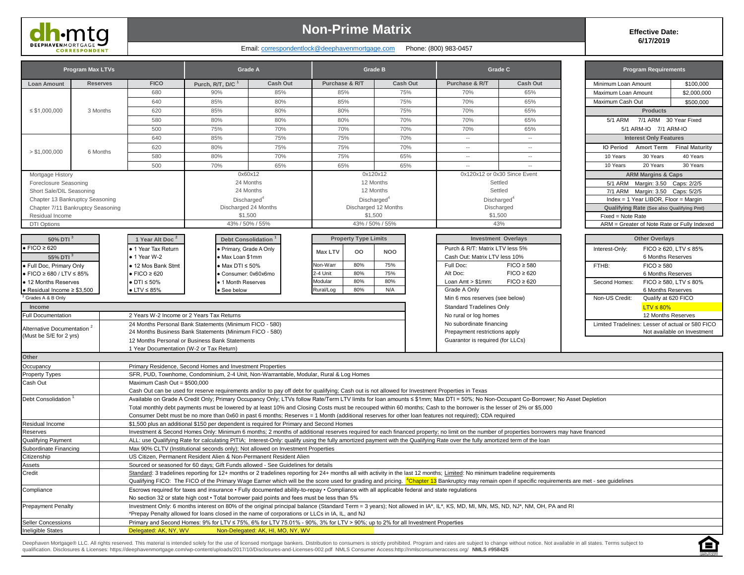DEEPHAVEMORTGAGE

## **Non-Prime Matrix**

### Email: correspondentlock@deephavenmortgage.com Phone: (800) 983-0457

**Effective Date: 6/17/2019**

Ā

|                                                          | <b>Program Max LTVs</b>           |                                                      |                                                                                                                                                 | <b>Grade A</b>                    |                                           | <b>Grade B</b>          |                                                                                                                                                                              | Grade C                                                                                                                                                                                                         | <b>Program Requirements</b>                      |                                                      |
|----------------------------------------------------------|-----------------------------------|------------------------------------------------------|-------------------------------------------------------------------------------------------------------------------------------------------------|-----------------------------------|-------------------------------------------|-------------------------|------------------------------------------------------------------------------------------------------------------------------------------------------------------------------|-----------------------------------------------------------------------------------------------------------------------------------------------------------------------------------------------------------------|--------------------------------------------------|------------------------------------------------------|
| <b>Loan Amount</b>                                       | <b>Reserves</b>                   | <b>FICO</b>                                          | Purch, R/T, D/C <sup>1</sup>                                                                                                                    | Cash Out                          | Purchase & R/T                            | Cash Out                | Purchase & R/T                                                                                                                                                               | <b>Cash Out</b>                                                                                                                                                                                                 | Minimum Loan Amount                              | \$100,000                                            |
|                                                          |                                   | 680                                                  | 90%                                                                                                                                             | 85%                               | 85%                                       | 75%                     | 70%                                                                                                                                                                          | 65%                                                                                                                                                                                                             | Maximum Loan Amount                              | \$2,000,000                                          |
|                                                          |                                   | 640                                                  | 85%                                                                                                                                             | 80%                               | 85%                                       | 75%                     | 70%                                                                                                                                                                          | 65%                                                                                                                                                                                                             | Maximum Cash Out                                 | \$500,000                                            |
| $\leq$ \$1,000,000                                       | 3 Months                          | 620                                                  | 85%                                                                                                                                             | 80%                               | 80%                                       | 75%                     | 70%                                                                                                                                                                          | 65%                                                                                                                                                                                                             | <b>Products</b>                                  |                                                      |
|                                                          |                                   | 580                                                  | 80%                                                                                                                                             | 80%                               | 80%                                       | 70%                     | 70%                                                                                                                                                                          | 65%                                                                                                                                                                                                             | <b>5/1 ARM</b>                                   | 7/1 ARM 30 Year Fixed                                |
|                                                          |                                   | 500                                                  | 75%                                                                                                                                             | 70%                               | 70%                                       | 70%                     | 70%                                                                                                                                                                          | 65%                                                                                                                                                                                                             | 5/1 ARM-IO 7/1 ARM-IO                            |                                                      |
|                                                          |                                   | 640                                                  | 85%                                                                                                                                             | 75%                               | 75%                                       | 70%                     | $\overline{\phantom{a}}$                                                                                                                                                     | $\overline{\phantom{a}}$                                                                                                                                                                                        | <b>Interest Only Features</b>                    |                                                      |
|                                                          |                                   | 620                                                  | 80%                                                                                                                                             | 75%                               | 75%                                       | 70%                     | $\hspace{0.05cm} \ldots$                                                                                                                                                     | $\overline{\phantom{a}}$                                                                                                                                                                                        | <b>IO Period</b><br><b>Amort Term</b>            | <b>Final Maturity</b>                                |
| > \$1,000,000                                            | 6 Months                          | 580                                                  | 80%                                                                                                                                             | 70%                               | 75%                                       | 65%                     | $\overline{\phantom{a}}$                                                                                                                                                     | $\overline{\phantom{a}}$                                                                                                                                                                                        | 10 Years<br>30 Years                             | 40 Years                                             |
|                                                          |                                   | 500                                                  | 70%                                                                                                                                             | 65%                               | 65%                                       | 65%                     | $\ddotsc$                                                                                                                                                                    |                                                                                                                                                                                                                 | 20 Years<br>10 Years                             | 30 Years                                             |
| Mortgage History                                         |                                   |                                                      |                                                                                                                                                 | 0x60x12                           |                                           | 0x120x12                |                                                                                                                                                                              | 0x120x12 or 0x30 Since Event                                                                                                                                                                                    | <b>ARM Margins &amp; Caps</b>                    |                                                      |
| Foreclosure Seasoning                                    |                                   |                                                      |                                                                                                                                                 | 24 Months                         |                                           | 12 Months               |                                                                                                                                                                              | Settled                                                                                                                                                                                                         | 5/1 ARM Margin: 3.50 Caps: 2/2/5                 |                                                      |
| Short Sale/DIL Seasoning                                 |                                   |                                                      |                                                                                                                                                 | 24 Months                         |                                           | 12 Months               |                                                                                                                                                                              | Settled                                                                                                                                                                                                         | 7/1 ARM Margin: 3.50 Caps: 5/2/5                 |                                                      |
|                                                          | Chapter 13 Bankruptcy Seasoning   |                                                      | Discharged <sup>4</sup>                                                                                                                         |                                   |                                           | Discharged <sup>4</sup> |                                                                                                                                                                              | Discharged <sup>4</sup>                                                                                                                                                                                         | Index = 1 Year LIBOR, Floor = Margin             |                                                      |
|                                                          | Chapter 7/11 Bankruptcy Seasoning |                                                      |                                                                                                                                                 | Discharged 24 Months              |                                           | Discharged 12 Months    |                                                                                                                                                                              | Discharged                                                                                                                                                                                                      | Qualifying Rate (See also Qualifying Pmt)        |                                                      |
| Residual Income                                          |                                   |                                                      | \$1,500                                                                                                                                         |                                   |                                           | \$1,500                 |                                                                                                                                                                              | \$1,500                                                                                                                                                                                                         | Fixed = Note Rate                                |                                                      |
| <b>DTI Options</b>                                       |                                   |                                                      |                                                                                                                                                 | 43% / 50% / 55%                   |                                           | 43% / 50% / 55%         |                                                                                                                                                                              | 43%                                                                                                                                                                                                             | ARM = Greater of Note Rate or Fully Indexed      |                                                      |
|                                                          |                                   |                                                      |                                                                                                                                                 |                                   |                                           |                         |                                                                                                                                                                              |                                                                                                                                                                                                                 |                                                  |                                                      |
| 50% DTI <sup>3</sup>                                     |                                   | 1 Year Alt Doc <sup>2</sup>                          |                                                                                                                                                 | Debt Consolidation <sup>1</sup>   | <b>Property Type Limits</b>               |                         |                                                                                                                                                                              | <b>Investment Overlays</b>                                                                                                                                                                                      | <b>Other Overlays</b>                            |                                                      |
| $\bullet$ FICO $\geq$ 620                                |                                   | 1 Year Tax Return                                    | Primary, Grade A Only                                                                                                                           |                                   | Max LTV<br>oo                             | <b>NOO</b>              | Purch & R/T: Matrix LTV less 5%                                                                                                                                              |                                                                                                                                                                                                                 | Interest-Only:                                   | FICO $\geq$ 620, LTV $\leq$ 85%                      |
| 55% DTI <sup>3</sup>                                     |                                   | $\bullet$ 1 Year W-2                                 | · Max Loan \$1mm                                                                                                                                |                                   |                                           | 75%                     | Cash Out: Matrix LTV less 10%                                                                                                                                                |                                                                                                                                                                                                                 |                                                  | 6 Months Reserves                                    |
| · Full Doc, Primary Only                                 |                                   | • 12 Mos Bank Stmt<br>$\bullet$ FICO $\geq 620$      | $\bullet$ Max DTI $\leq 50\%$                                                                                                                   |                                   | <b>Non-Warr</b><br>80%<br>2-4 Unit<br>80% | 75%                     | Full Doc:                                                                                                                                                                    | $FICO \geq 580$                                                                                                                                                                                                 | $FICO \geq 580$<br>FTHB:                         |                                                      |
| $\bullet$ FICO $\geq$ 680 / LTV $\leq$ 85%               |                                   |                                                      | · Consumer: 0x60x6mo                                                                                                                            |                                   | 80%<br>Modular                            | 80%                     | Alt Doc:                                                                                                                                                                     | $FICO \geq 620$<br>$FICO \geq 620$                                                                                                                                                                              |                                                  | 6 Months Reserves                                    |
| · 12 Months Reserves<br>• Residual Income $\geq$ \$3,500 |                                   | $\bullet$ DTI $\leq$ 50%<br>$\bullet$ LTV $\leq$ 85% | · 1 Month Reserves<br>See below                                                                                                                 |                                   | 80%<br><b>Rural/Log</b>                   | N/A                     | Loan $Amt > $1mm$ :<br>Grade A Only                                                                                                                                          |                                                                                                                                                                                                                 | Second Homes:                                    | FICO $\geq$ 580, LTV $\leq$ 80%<br>6 Months Reserves |
| Grades A & B Only                                        |                                   |                                                      |                                                                                                                                                 |                                   |                                           |                         | Min 6 mos reserves (see below)                                                                                                                                               |                                                                                                                                                                                                                 | Non-US Credit:                                   | Qualify at 620 FICO                                  |
| Income                                                   |                                   |                                                      |                                                                                                                                                 |                                   |                                           |                         | <b>Standard Tradelines Only</b>                                                                                                                                              |                                                                                                                                                                                                                 | $LTV \leq 80\%$                                  |                                                      |
| Full Documentation                                       |                                   |                                                      | 2 Years W-2 Income or 2 Years Tax Returns                                                                                                       |                                   |                                           |                         | No rural or log homes                                                                                                                                                        |                                                                                                                                                                                                                 |                                                  | 12 Months Reserves                                   |
|                                                          |                                   |                                                      | 24 Months Personal Bank Statements (Minimum FICO - 580)                                                                                         |                                   |                                           |                         | No subordinate financing                                                                                                                                                     |                                                                                                                                                                                                                 | Limited Tradelines: Lesser of actual or 580 FICO |                                                      |
| Alternative Documentation <sup>2</sup>                   |                                   |                                                      | 24 Months Business Bank Statements (Minimum FICO - 580)                                                                                         |                                   |                                           |                         | Prepayment restrictions apply                                                                                                                                                |                                                                                                                                                                                                                 |                                                  | Not available on Investment                          |
| (Must be S/E for 2 yrs)                                  |                                   |                                                      | 12 Months Personal or Business Bank Statements                                                                                                  |                                   |                                           |                         | Guarantor is required (for LLCs)                                                                                                                                             |                                                                                                                                                                                                                 |                                                  |                                                      |
|                                                          |                                   | 1 Year Documentation (W-2 or Tax Return)             |                                                                                                                                                 |                                   |                                           |                         |                                                                                                                                                                              |                                                                                                                                                                                                                 |                                                  |                                                      |
| Other                                                    |                                   |                                                      |                                                                                                                                                 |                                   |                                           |                         |                                                                                                                                                                              |                                                                                                                                                                                                                 |                                                  |                                                      |
| Occupancy                                                |                                   |                                                      | Primary Residence, Second Homes and Investment Properties                                                                                       |                                   |                                           |                         |                                                                                                                                                                              |                                                                                                                                                                                                                 |                                                  |                                                      |
| Property Types                                           |                                   |                                                      | SFR, PUD, Townhome, Condominium, 2-4 Unit, Non-Warrantable, Modular, Rural & Log Homes                                                          |                                   |                                           |                         |                                                                                                                                                                              |                                                                                                                                                                                                                 |                                                  |                                                      |
| Cash Out                                                 |                                   | Maximum Cash Out = \$500,000                         |                                                                                                                                                 |                                   |                                           |                         |                                                                                                                                                                              |                                                                                                                                                                                                                 |                                                  |                                                      |
|                                                          |                                   |                                                      | Cash Out can be used for reserve requirements and/or to pay off debt for qualifying; Cash out is not allowed for Investment Properties in Texas |                                   |                                           |                         |                                                                                                                                                                              |                                                                                                                                                                                                                 |                                                  |                                                      |
| Debt Consolidation                                       |                                   |                                                      |                                                                                                                                                 |                                   |                                           |                         |                                                                                                                                                                              | Available on Grade A Credit Only; Primary Occupancy Only; LTVs follow Rate/Term LTV limits for loan amounts ≤ \$1mm; Max DTI = 50%; No Non-Occupant Co-Borrower; No Asset Depletion                             |                                                  |                                                      |
|                                                          |                                   |                                                      |                                                                                                                                                 |                                   |                                           |                         | Total monthly debt payments must be lowered by at least 10% and Closing Costs must be recouped within 60 months; Cash to the borrower is the lesser of 2% or \$5,000         |                                                                                                                                                                                                                 |                                                  |                                                      |
|                                                          |                                   |                                                      |                                                                                                                                                 |                                   |                                           |                         | Consumer Debt must be no more than 0x60 in past 6 months; Reserves = 1 Month (additional reserves for other loan features not required); CDA required                        |                                                                                                                                                                                                                 |                                                  |                                                      |
| Residual Income                                          |                                   |                                                      | \$1,500 plus an additional \$150 per dependent is required for Primary and Second Homes                                                         |                                   |                                           |                         |                                                                                                                                                                              |                                                                                                                                                                                                                 |                                                  |                                                      |
| Reserves<br>Qualifying Payment                           |                                   |                                                      |                                                                                                                                                 |                                   |                                           |                         | ALL: use Qualifying Rate for calculating PITIA; Interest-Only: qualify using the fully amortized payment with the Qualifying Rate over the fully amortized term of the loan  | Investment & Second Homes Only: Minimum 6 months; 2 months of additional reserves required for each financed property; no limit on the number of properties borrowers may have financed                         |                                                  |                                                      |
| Subordinate Financing                                    |                                   |                                                      | Max 90% CLTV (Institutional seconds only); Not allowed on Investment Properties                                                                 |                                   |                                           |                         |                                                                                                                                                                              |                                                                                                                                                                                                                 |                                                  |                                                      |
| Citizenship                                              |                                   |                                                      | US Citizen, Permanent Resident Alien & Non-Permanent Resident Alien                                                                             |                                   |                                           |                         |                                                                                                                                                                              |                                                                                                                                                                                                                 |                                                  |                                                      |
| Assets                                                   |                                   |                                                      | Sourced or seasoned for 60 days; Gift Funds allowed - See Guidelines for details                                                                |                                   |                                           |                         |                                                                                                                                                                              |                                                                                                                                                                                                                 |                                                  |                                                      |
| Credit                                                   |                                   |                                                      |                                                                                                                                                 |                                   |                                           |                         | Standard: 3 tradelines reporting for 12+ months or 2 tradelines reporting for 24+ months all with activity in the last 12 months; Limited: No minimum tradeline requirements |                                                                                                                                                                                                                 |                                                  |                                                      |
|                                                          |                                   |                                                      |                                                                                                                                                 |                                   |                                           |                         |                                                                                                                                                                              | Qualifying FICO: The FICO of the Primary Wage Earner which will be the score used for grading and pricing. <sup>4</sup> Chapter 13 Bankruptcy may remain open if specific requirements are met - see guidelines |                                                  |                                                      |
| Compliance                                               |                                   |                                                      | Escrows required for taxes and insurance • Fully documented ability-to-repay • Compliance with all applicable federal and state regulations     |                                   |                                           |                         |                                                                                                                                                                              |                                                                                                                                                                                                                 |                                                  |                                                      |
|                                                          |                                   |                                                      | No section 32 or state high cost • Total borrower paid points and fees must be less than 5%                                                     |                                   |                                           |                         |                                                                                                                                                                              |                                                                                                                                                                                                                 |                                                  |                                                      |
| <b>Prepayment Penalty</b>                                |                                   |                                                      |                                                                                                                                                 |                                   |                                           |                         |                                                                                                                                                                              | Investment Only: 6 months interest on 80% of the original principal balance (Standard Term = 3 years); Not allowed in IA*, IL*, KS, MD, MI, MN, MS, ND, NJ*, NM, OH, PA and RI                                  |                                                  |                                                      |
|                                                          |                                   |                                                      | *Prepay Penalty allowed for loans closed in the name of corporations or LLCs in IA, IL, and NJ                                                  |                                   |                                           |                         |                                                                                                                                                                              |                                                                                                                                                                                                                 |                                                  |                                                      |
| Seller Concessions                                       |                                   |                                                      | Primary and Second Homes: 9% for LTV ≤ 75%, 6% for LTV 75.01% - 90%, 3% for LTV > 90%; up to 2% for all Investment Properties                   |                                   |                                           |                         |                                                                                                                                                                              |                                                                                                                                                                                                                 |                                                  |                                                      |
| <b>Ineligible States</b>                                 |                                   | Delegated: AK, NY, WV                                |                                                                                                                                                 | Non-Delegated: AK, HI, MO, NY, WV |                                           |                         |                                                                                                                                                                              |                                                                                                                                                                                                                 |                                                  |                                                      |

Deephaven Mortgage® LLC. All rights reserved. This material is intended solely for the use of licensed mortgage bankers. Distribution to consumers is strictly prohibited. Program and rates are subject to change without not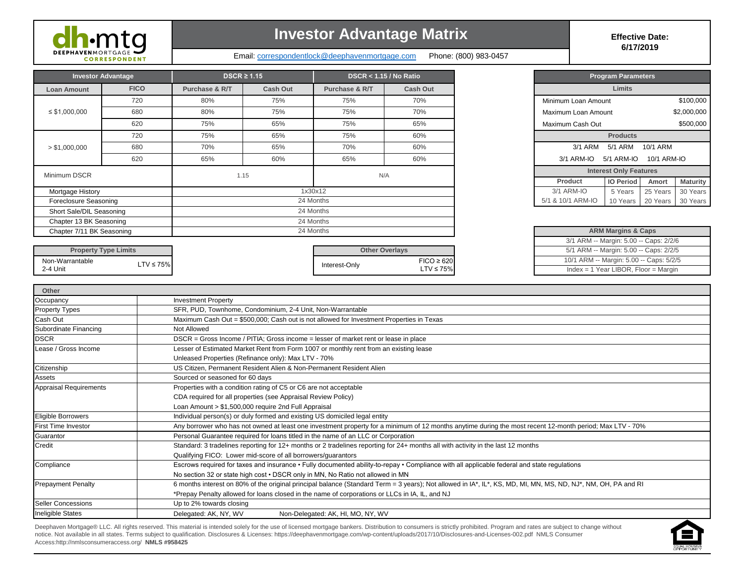

# **Investor Advantage Matrix Effective Date:**

Email: correspondentlock@deephavenmortgage.com Phone: (800) 983-0457

**6/17/2019**

| <b>Investor Advantage</b> |             |                | $DSCR \geq 1.15$ |                | DSCR < 1.15 / No Ratio |                     | <b>Program Parameters</b>     |             |                 |
|---------------------------|-------------|----------------|------------------|----------------|------------------------|---------------------|-------------------------------|-------------|-----------------|
| Loan Amount               | <b>FICO</b> | Purchase & R/T | Cash Out         | Purchase & R/T | Cash Out               |                     | <b>Limits</b>                 |             |                 |
|                           | 720         | 80%            | 75%              | 75%            | 70%                    | Minimum Loan Amount |                               |             | \$100,000       |
| $\leq$ \$1,000,000        | 680         | 80%            | 75%              | 75%            | 70%                    | Maximum Loan Amount |                               |             | \$2,000,000     |
|                           | 620         | 75%            | 65%              | 75%            | 65%                    | Maximum Cash Out    |                               |             | \$500,000       |
| > \$1,000,000             | 720         | 75%            | 65%              | 75%            | 60%                    |                     | <b>Products</b>               |             |                 |
|                           | 680         | 70%            | 65%              | 70%            | 60%                    | 3/1 ARM             | 5/1 ARM                       | 10/1 ARM    |                 |
|                           | 620         | 65%            | 60%              | 65%            | 60%                    | 3/1 ARM-IO          | 5/1 ARM-IO                    | 10/1 ARM-IO |                 |
| Minimum DSCR              |             |                | 1.15             | N/A            |                        |                     | <b>Interest Only Features</b> |             |                 |
|                           |             |                |                  |                |                        | Product             | <b>IO Period</b>              | Amort       | <b>Maturity</b> |
| Mortgage History          |             |                |                  | 1x30x12        |                        | 3/1 ARM-IO          | 5 Years                       | 25 Years    | 30 Years        |
| Foreclosure Seasoning     |             |                |                  | 24 Months      | 5/1 & 10/1 ARM-IO      | 10 Years            | 20 Years                      | 30 Years    |                 |
| Short Sale/DIL Seasoning  |             |                |                  | 24 Months      |                        |                     |                               |             |                 |
| Chapter 13 BK Seasoning   |             |                |                  | 24 Months      |                        |                     |                               |             |                 |
| Chapter 7/11 BK Seasoning |             |                |                  | 24 Months      |                        |                     | <b>ARM Margins &amp; Caps</b> |             |                 |

| <b>Program Parameters</b> |                               |             |                 |  |  |  |  |  |  |  |  |
|---------------------------|-------------------------------|-------------|-----------------|--|--|--|--|--|--|--|--|
| Limits                    |                               |             |                 |  |  |  |  |  |  |  |  |
| Minimum Loan Amount       |                               |             | \$100,000       |  |  |  |  |  |  |  |  |
| Maximum Loan Amount       |                               |             | \$2,000,000     |  |  |  |  |  |  |  |  |
| Maximum Cash Out          |                               | \$500,000   |                 |  |  |  |  |  |  |  |  |
| <b>Products</b>           |                               |             |                 |  |  |  |  |  |  |  |  |
|                           | 3/1 ARM 5/1 ARM               | 10/1 ARM    |                 |  |  |  |  |  |  |  |  |
| $3/1$ ARM-IO $5/1$ ARM-IO |                               | 10/1 ARM-IO |                 |  |  |  |  |  |  |  |  |
|                           | <b>Interest Only Features</b> |             |                 |  |  |  |  |  |  |  |  |
| Product                   | <b>IO Period</b>              | Amort       | <b>Maturity</b> |  |  |  |  |  |  |  |  |
| 3/1 ARM-IO                | 5 Years                       | 25 Years    | 30 Years        |  |  |  |  |  |  |  |  |
| 5/1 & 10/1 ARM-IO         | 10 Years                      | 20 Years    | 30 Years        |  |  |  |  |  |  |  |  |

| <b>ARM Margins &amp; Caps</b>           |
|-----------------------------------------|
| 3/1 ARM -- Margin: 5.00 -- Caps: 2/2/6  |
| 5/1 ARM -- Margin: 5.00 -- Caps: 2/2/5  |
| 10/1 ARM -- Margin: 5.00 -- Caps: 5/2/5 |
| $Index = 1$ Year LIBOR, Floor = Margin  |

| <b>Property Type Limits</b> |               | <b>Other Overlavs</b> |                              |
|-----------------------------|---------------|-----------------------|------------------------------|
| Non-Warrantable<br>2-4 Unit | $TV \le 75\%$ | Interest-Only         | $FICO \geq 620$<br>.TV ≤ 75% |

| Other                                                                                                         |                                                                                                                                                               |  |  |  |  |
|---------------------------------------------------------------------------------------------------------------|---------------------------------------------------------------------------------------------------------------------------------------------------------------|--|--|--|--|
| Occupancy                                                                                                     | <b>Investment Property</b>                                                                                                                                    |  |  |  |  |
| <b>Property Types</b>                                                                                         | SFR, PUD, Townhome, Condominium, 2-4 Unit, Non-Warrantable                                                                                                    |  |  |  |  |
| Cash Out                                                                                                      | Maximum Cash Out = \$500,000; Cash out is not allowed for Investment Properties in Texas                                                                      |  |  |  |  |
| Subordinate Financing                                                                                         | Not Allowed                                                                                                                                                   |  |  |  |  |
| <b>DSCR</b>                                                                                                   | DSCR = Gross Income / PITIA; Gross income = lesser of market rent or lease in place                                                                           |  |  |  |  |
| Lease / Gross Income<br>Lesser of Estimated Market Rent from Form 1007 or monthly rent from an existing lease |                                                                                                                                                               |  |  |  |  |
|                                                                                                               | Unleased Properties (Refinance only): Max LTV - 70%                                                                                                           |  |  |  |  |
| Citizenship                                                                                                   | US Citizen, Permanent Resident Alien & Non-Permanent Resident Alien                                                                                           |  |  |  |  |
| Assets                                                                                                        | Sourced or seasoned for 60 days                                                                                                                               |  |  |  |  |
| <b>Appraisal Requirements</b>                                                                                 | Properties with a condition rating of C5 or C6 are not acceptable                                                                                             |  |  |  |  |
|                                                                                                               | CDA required for all properties (see Appraisal Review Policy)                                                                                                 |  |  |  |  |
|                                                                                                               | Loan Amount > \$1,500,000 require 2nd Full Appraisal                                                                                                          |  |  |  |  |
| Eligible Borrowers                                                                                            | Individual person(s) or duly formed and existing US domiciled legal entity                                                                                    |  |  |  |  |
| <b>First Time Investor</b>                                                                                    | Any borrower who has not owned at least one investment property for a minimum of 12 months anytime during the most recent 12-month period; Max LTV - 70%      |  |  |  |  |
| Guarantor                                                                                                     | Personal Guarantee required for loans titled in the name of an LLC or Corporation                                                                             |  |  |  |  |
| Credit                                                                                                        | Standard: 3 tradelines reporting for 12+ months or 2 tradelines reporting for 24+ months all with activity in the last 12 months                              |  |  |  |  |
|                                                                                                               | Qualifying FICO: Lower mid-score of all borrowers/guarantors                                                                                                  |  |  |  |  |
| Compliance                                                                                                    | Escrows required for taxes and insurance • Fully documented ability-to-repay • Compliance with all applicable federal and state regulations                   |  |  |  |  |
|                                                                                                               | No section 32 or state high cost • DSCR only in MN, No Ratio not allowed in MN                                                                                |  |  |  |  |
| <b>Prepayment Penalty</b>                                                                                     | 6 months interest on 80% of the original principal balance (Standard Term = 3 years); Not allowed in IA*, IL*, KS, MD, MI, MN, MS, ND, NJ*, NM, OH, PA and RI |  |  |  |  |
|                                                                                                               | *Prepay Penalty allowed for loans closed in the name of corporations or LLCs in IA, IL, and NJ                                                                |  |  |  |  |
| <b>Seller Concessions</b>                                                                                     | Up to 2% towards closing                                                                                                                                      |  |  |  |  |
| <b>Ineligible States</b>                                                                                      | Delegated: AK, NY, WV<br>Non-Delegated: AK, HI, MO, NY, WV                                                                                                    |  |  |  |  |

Deephaven Mortgage® LLC. All rights reserved. This material is intended solely for the use of licensed mortgage bankers. Distribution to consumers is strictly prohibited. Program and rates are subject to change without notice. Not available in all states. Terms subject to qualification. Disclosures & Licenses: https://deephavenmortgage.com/wp-content/uploads/2017/10/Disclosures-and-Licenses-002.pdf NMLS Consumer Access:http://nmlsconsumeraccess.org/ **NMLS #958425**